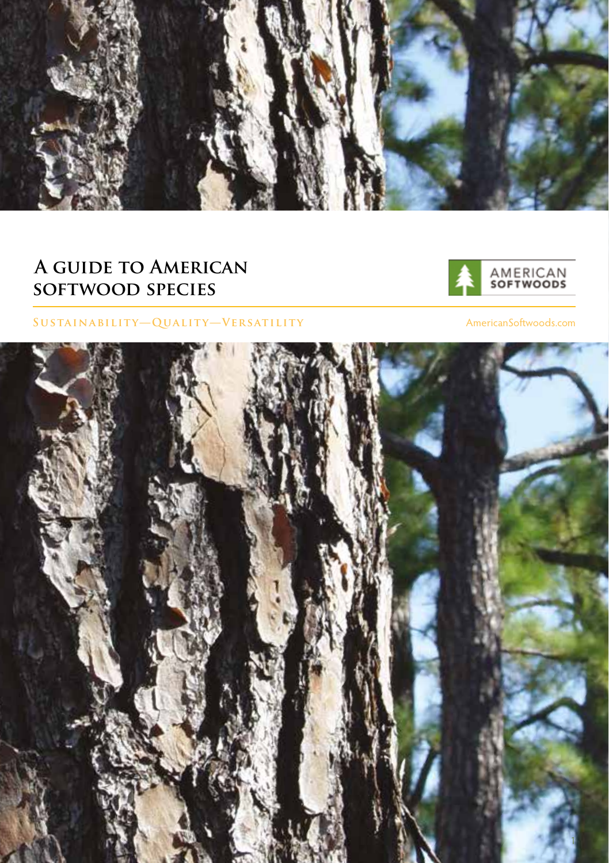

# **A guide to American softwood species**



### **Sustainability—Quality—Versatility**

AmericanSoftwoods.com

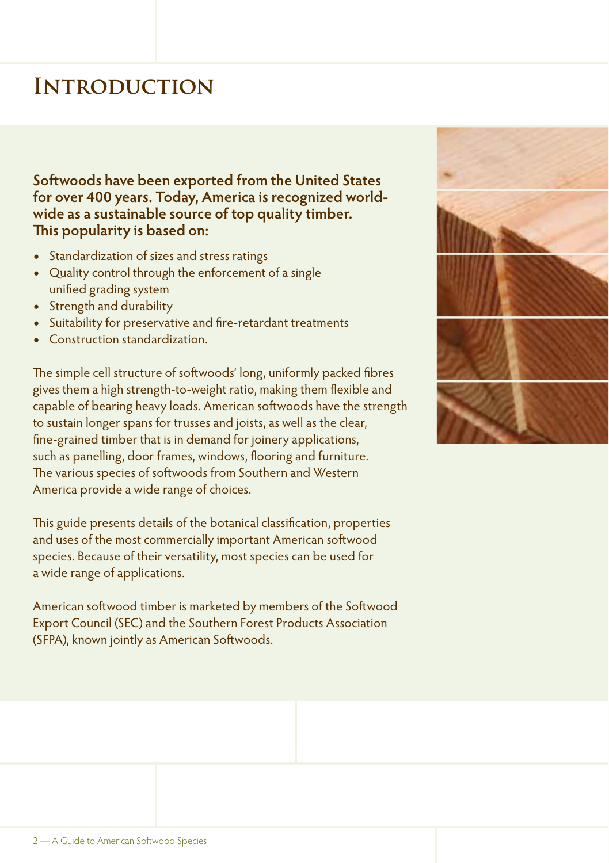# **Introduction**

**Softwoods have been exported from the United States for over 400 years. Today, America is recognized worldwide as a sustainable source of top quality timber. This popularity is based on:**

- **•** Standardization of sizes and stress ratings
- **•** Quality control through the enforcement of a single unified grading system
- **•** Strength and durability
- **•** Suitability for preservative and fire-retardant treatments
- **•** Construction standardization.

The simple cell structure of softwoods' long, uniformly packed fibres gives them a high strength-to-weight ratio, making them flexible and capable of bearing heavy loads. American softwoods have the strength to sustain longer spans for trusses and joists, as well as the clear, fine-grained timber that is in demand for joinery applications, such as panelling, door frames, windows, flooring and furniture. The various species of softwoods from Southern and Western America provide a wide range of choices.

This guide presents details of the botanical classification, properties and uses of the most commercially important American softwood species. Because of their versatility, most species can be used for a wide range of applications.

American softwood timber is marketed by members of the Softwood Export Council (SEC) and the Southern Forest Products Association (SFPA), known jointly as American Softwoods.

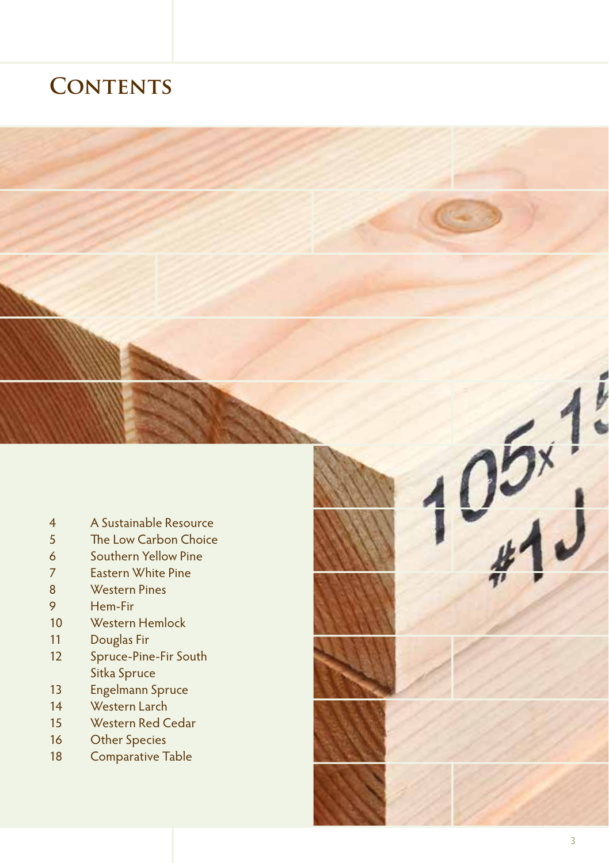# **CONTENTS**



- Western Hemlock 10
- Douglas Fir 11
- Spruce-Pine-Fir South Sitka Spruce 12
- Engelmann Spruce 13
- Western Larch 14
- Western Red Cedar 15
- Other Species 16
- Comparative Table 18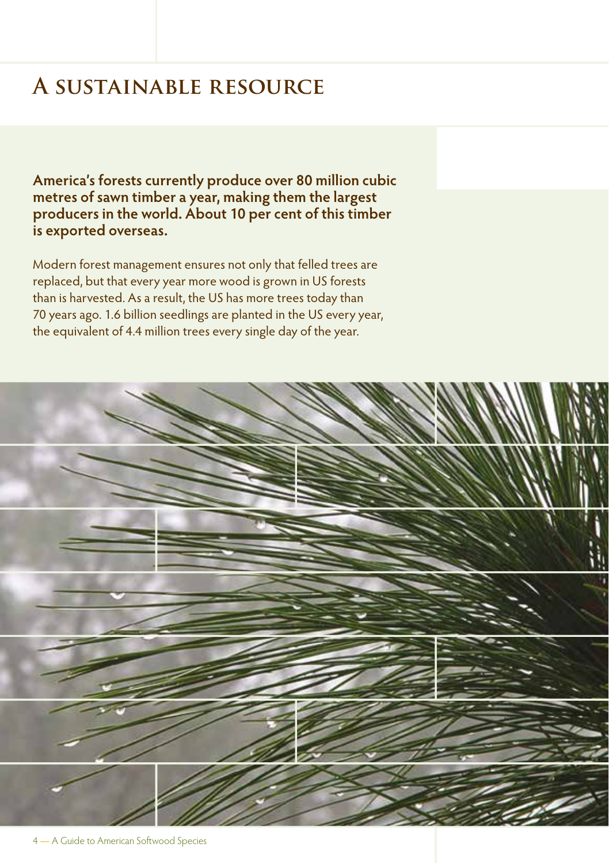# **A sustainable resource**

**America's forests currently produce over 80 million cubic metres of sawn timber a year, making them the largest producers in the world. About 10 per cent of this timber is exported overseas.**

Modern forest management ensures not only that felled trees are replaced, but that every year more wood is grown in US forests than is harvested. As a result, the US has more trees today than 70 years ago. 1.6 billion seedlings are planted in the US every year, the equivalent of 4.4 million trees every single day of the year.

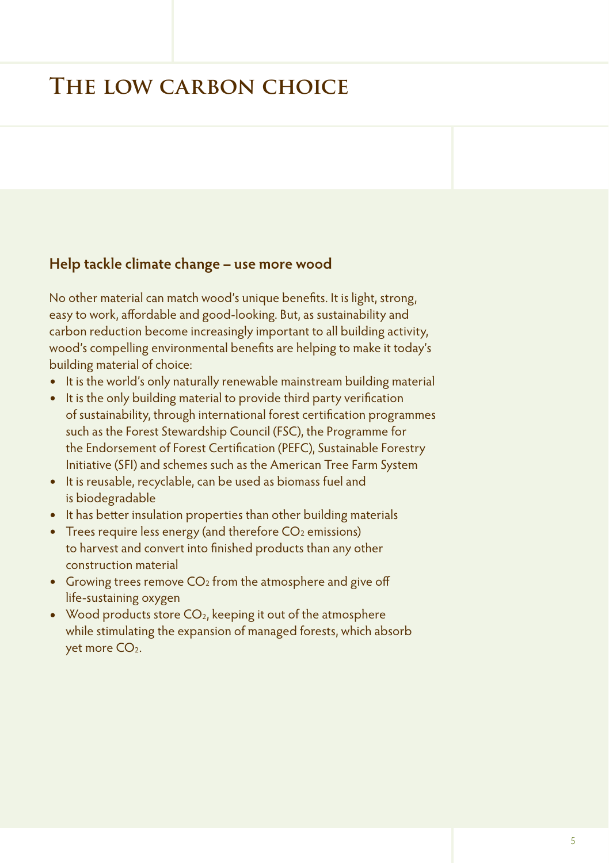# **The low carbon choice**

## **Help tackle climate change – use more wood**

No other material can match wood's unique benefits. It is light, strong, easy to work, affordable and good-looking. But, as sustainability and carbon reduction become increasingly important to all building activity, wood's compelling environmental benefits are helping to make it today's building material of choice:

- **•** It is the world's only naturally renewable mainstream building material
- **•** It is the only building material to provide third party verification of sustainability, through international forest certification programmes such as the Forest Stewardship Council (FSC), the Programme for the Endorsement of Forest Certification (PEFC), Sustainable Forestry Initiative (SFI) and schemes such as the American Tree Farm System
- **•** It is reusable, recyclable, can be used as biomass fuel and is biodegradable
- **•** It has better insulation properties than other building materials
- Trees require less energy (and therefore CO<sub>2</sub> emissions) to harvest and convert into finished products than any other construction material
- Growing trees remove CO<sub>2</sub> from the atmosphere and give off life-sustaining oxygen
- Wood products store CO<sub>2</sub>, keeping it out of the atmosphere while stimulating the expansion of managed forests, which absorb yet more CO<sub>2</sub>.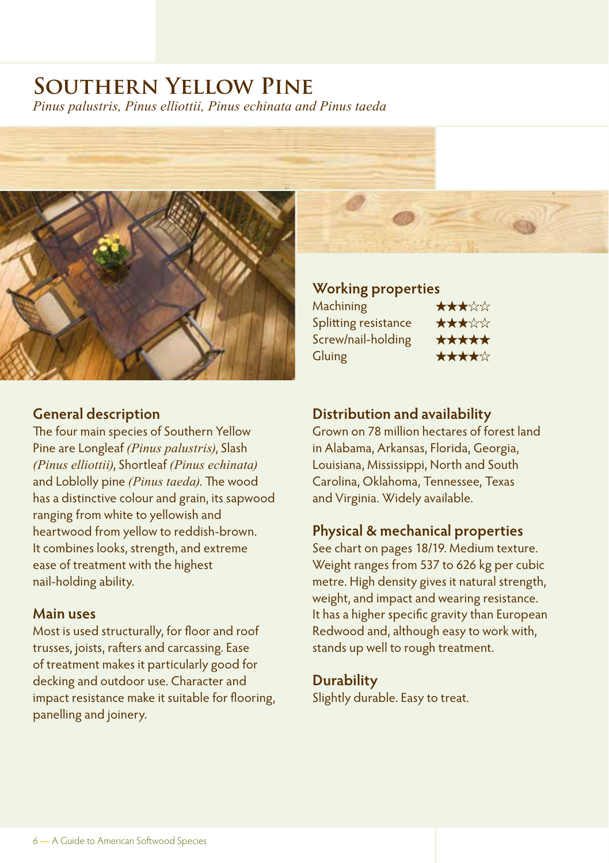# **Southern Yellow Pine**

*Pinus palustris, Pinus elliottii, Pinus echinata and Pinus taeda*



### **General description**

The four main species of Southern Yellow Pine are Longleaf *(Pinus palustris)*, Slash *(Pinus elliottii)*, Shortleaf *(Pinus echinata)* and Loblolly pine *(Pinus taeda)*. The wood has a distinctive colour and grain, its sapwood ranging from white to yellowish and heartwood from yellow to reddish-brown. It combines looks, strength, and extreme ease of treatment with the highest nail-holding ability.

### **Main uses**

Most is used structurally, for floor and roof trusses, joists, rafters and carcassing. Ease of treatment makes it particularly good for decking and outdoor use. Character and impact resistance make it suitable for flooring, panelling and joinery.

### **Working properties**

| ★★★☆☆ |
|-------|
| ★★★☆☆ |
| ***** |
| ★★★★☆ |
|       |

### **Distribution and availability**

Grown on 78 million hectares of forest land in Alabama, Arkansas, Florida, Georgia, Louisiana, Mississippi, North and South Carolina, Oklahoma, Tennessee, Texas and Virginia. Widely available.

### **Physical & mechanical properties**

See chart on pages 18/19. Medium texture. Weight ranges from 537 to 626 kg per cubic metre. High density gives it natural strength, weight, and impact and wearing resistance. It has a higher specific gravity than European Redwood and, although easy to work with, stands up well to rough treatment.

### **Durability**

Slightly durable. Easy to treat.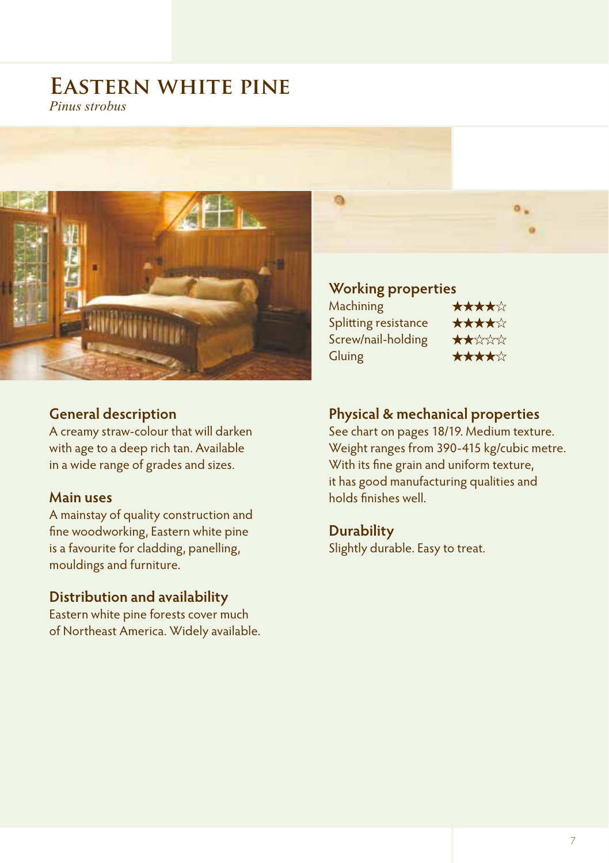## **Eastern white pine** *Pinus strobus*



### **General description**

A creamy straw-colour that will darken with age to a deep rich tan. Available in a wide range of grades and sizes.

### **Main uses**

A mainstay of quality construction and fine woodworking, Eastern white pine is a favourite for cladding, panelling, mouldings and furniture.

### **Distribution and availability**

Eastern white pine forests cover much of Northeast America. Widely available.

### **Working properties**

Machining ★★★★☆ Splitting resistance ★★★★☆ Screw/nail-holding **★★**☆☆☆ Gluing ★★★★☆

### **Physical & mechanical properties**

See chart on pages 18/19. Medium texture. Weight ranges from 390-415 kg/cubic metre. With its fine grain and uniform texture, it has good manufacturing qualities and holds finishes well.

# **Durability**

Slightly durable. Easy to treat.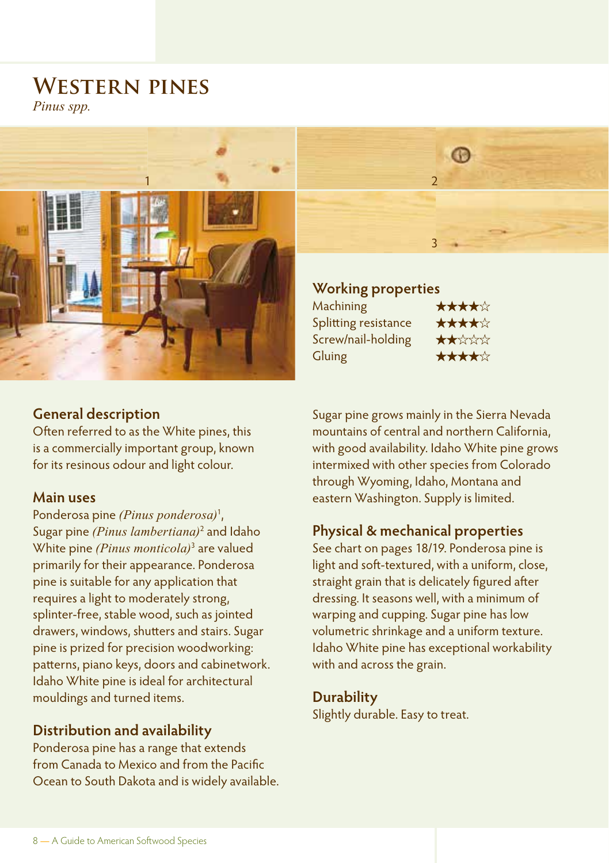# **Western pines**

*Pinus spp.*



### **General description**

Often referred to as the White pines, this is a commercially important group, known for its resinous odour and light colour.

### **Main uses**

Ponderosa pine *(Pinus ponderosa)*<sup>1</sup> , Sugar pine *(Pinus lambertiana)*<sup>2</sup> and Idaho White pine *(Pinus monticola)*<sup>3</sup> are valued primarily for their appearance. Ponderosa pine is suitable for any application that requires a light to moderately strong, splinter-free, stable wood, such as jointed drawers, windows, shutters and stairs. Sugar pine is prized for precision woodworking: patterns, piano keys, doors and cabinetwork. Idaho White pine is ideal for architectural mouldings and turned items.

### **Distribution and availability**

Ponderosa pine has a range that extends from Canada to Mexico and from the Pacific Ocean to South Dakota and is widely available.



**Working properties**  $M$ achining

| Machining            | AAAAW                  |
|----------------------|------------------------|
| Splitting resistance | ★★★★☆                  |
| Screw/nail-holding   | $\star\star\star\star$ |
| Gluing               | *****                  |

Sugar pine grows mainly in the Sierra Nevada mountains of central and northern California, with good availability. Idaho White pine grows intermixed with other species from Colorado through Wyoming, Idaho, Montana and eastern Washington. Supply is limited.

### **Physical & mechanical properties**

See chart on pages 18/19. Ponderosa pine is light and soft-textured, with a uniform, close, straight grain that is delicately figured after dressing. It seasons well, with a minimum of warping and cupping. Sugar pine has low volumetric shrinkage and a uniform texture. Idaho White pine has exceptional workability with and across the grain.

### **Durability**

Slightly durable. Easy to treat.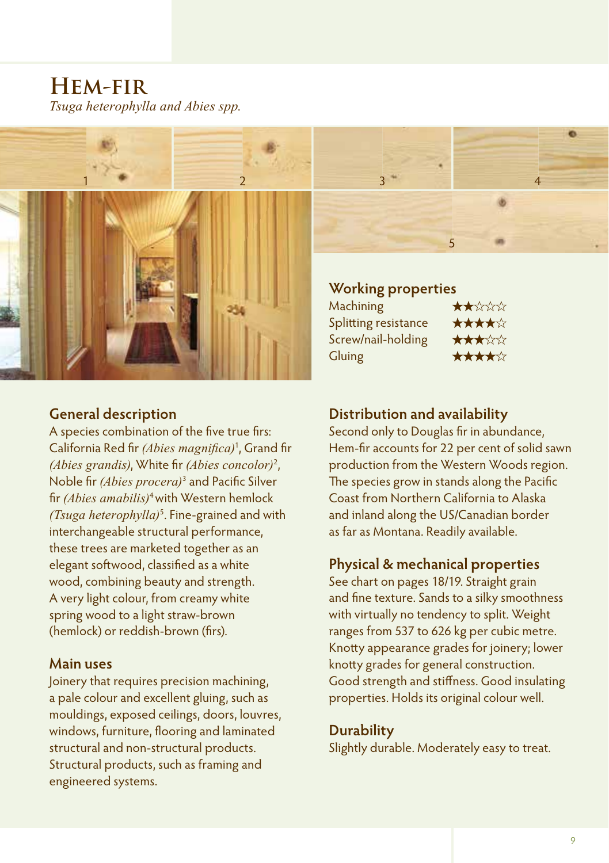**Hem-fir** *Tsuga heterophylla and Abies spp.*



### **General description**

A species combination of the five true firs: California Red fir *(Abies magnifica)*<sup>1</sup> , Grand fir *(Abies grandis)*, White fir *(Abies concolor)*<sup>2</sup> , Noble fir *(Abies procera)*<sup>3</sup> and Pacific Silver fir *(Abies amabilis)*4 with Western hemlock *(Tsuga heterophylla)*<sup>5</sup> . Fine-grained and with interchangeable structural performance, these trees are marketed together as an elegant softwood, classified as a white wood, combining beauty and strength. A very light colour, from creamy white spring wood to a light straw-brown (hemlock) or reddish-brown (firs).

### **Main uses**

Joinery that requires precision machining, a pale colour and excellent gluing, such as mouldings, exposed ceilings, doors, louvres, windows, furniture, flooring and laminated structural and non-structural products. Structural products, such as framing and engineered systems.



### **Working properties**

| $\bigstar\bigstar\downarrow\downarrow$ |
|----------------------------------------|
| *****                                  |
| ★★★☆☆                                  |
| ★★★★☆                                  |
|                                        |

### **Distribution and availability**

Second only to Douglas fir in abundance, Hem-fir accounts for 22 per cent of solid sawn production from the Western Woods region. The species grow in stands along the Pacific Coast from Northern California to Alaska and inland along the US/Canadian border as far as Montana. Readily available.

### **Physical & mechanical properties**

See chart on pages 18/19. Straight grain and fine texture. Sands to a silky smoothness with virtually no tendency to split. Weight ranges from 537 to 626 kg per cubic metre. Knotty appearance grades for joinery; lower knotty grades for general construction. Good strength and stiffness. Good insulating properties. Holds its original colour well.

### **Durability**

Slightly durable. Moderately easy to treat.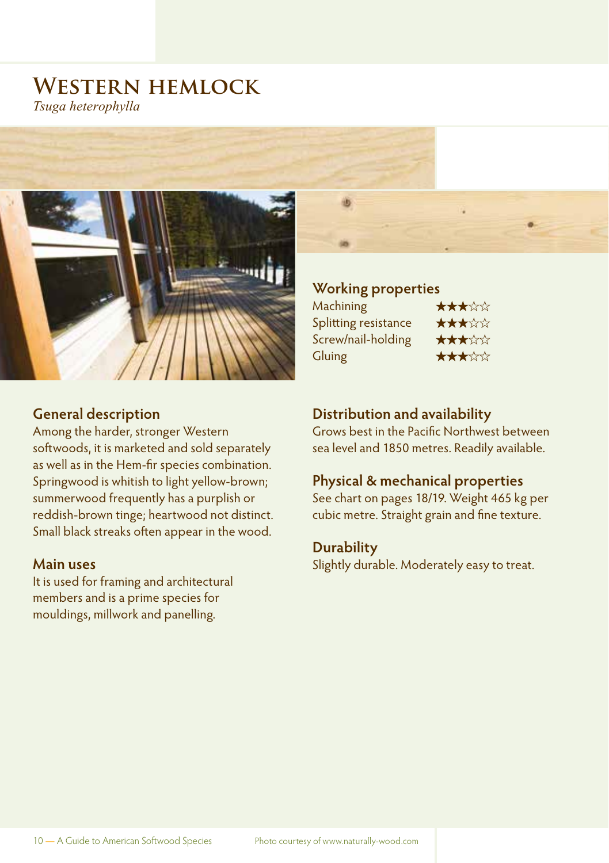## **Western hemlock** *Tsuga heterophylla*



### **General description**

Among the harder, stronger Western softwoods, it is marketed and sold separately as well as in the Hem-fir species combination. Springwood is whitish to light yellow-brown; summerwood frequently has a purplish or reddish-brown tinge; heartwood not distinct. Small black streaks often appear in the wood.

### **Main uses**

It is used for framing and architectural members and is a prime species for mouldings, millwork and panelling.

### **Working properties**

| ★★★☆☆ |
|-------|
|       |
| ★★★☆☆ |
| ★★★☆☆ |
| ★★★☆☆ |
|       |

### **Distribution and availability**

Grows best in the Pacific Northwest between sea level and 1850 metres. Readily available.

### **Physical & mechanical properties**

See chart on pages 18/19. Weight 465 kg per cubic metre. Straight grain and fine texture.

### **Durability**

Slightly durable. Moderately easy to treat.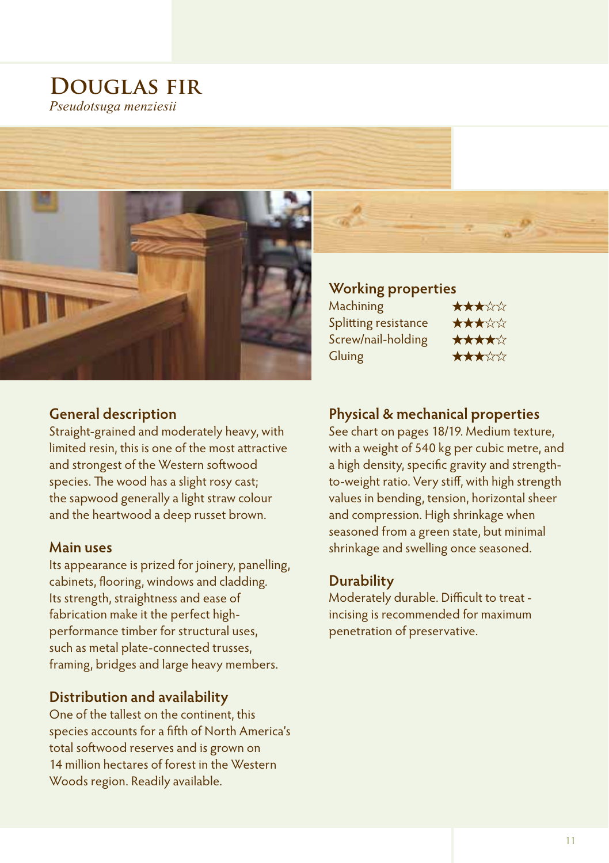## **Douglas fir** *Pseudotsuga menziesii*



### **General description**

Straight-grained and moderately heavy, with limited resin, this is one of the most attractive and strongest of the Western softwood species. The wood has a slight rosy cast; the sapwood generally a light straw colour and the heartwood a deep russet brown.

### **Main uses**

Its appearance is prized for joinery, panelling, cabinets, flooring, windows and cladding. Its strength, straightness and ease of fabrication make it the perfect highperformance timber for structural uses, such as metal plate-connected trusses, framing, bridges and large heavy members.

## **Distribution and availability**

One of the tallest on the continent, this species accounts for a fifth of North America's total softwood reserves and is grown on 14 million hectares of forest in the Western Woods region. Readily available.

### **Working properties**

| Machining            | ★★★☆☆ |
|----------------------|-------|
| Splitting resistance | ★★★☆☆ |
| Screw/nail-holding   | ★★★★☆ |
| Gluing               | ★★★☆☆ |

### **Physical & mechanical properties**

See chart on pages 18/19. Medium texture, with a weight of 540 kg per cubic metre, and a high density, specific gravity and strengthto-weight ratio. Very stiff, with high strength values in bending, tension, horizontal sheer and compression. High shrinkage when seasoned from a green state, but minimal shrinkage and swelling once seasoned.

### **Durability**

Moderately durable. Difficult to treat incising is recommended for maximum penetration of preservative.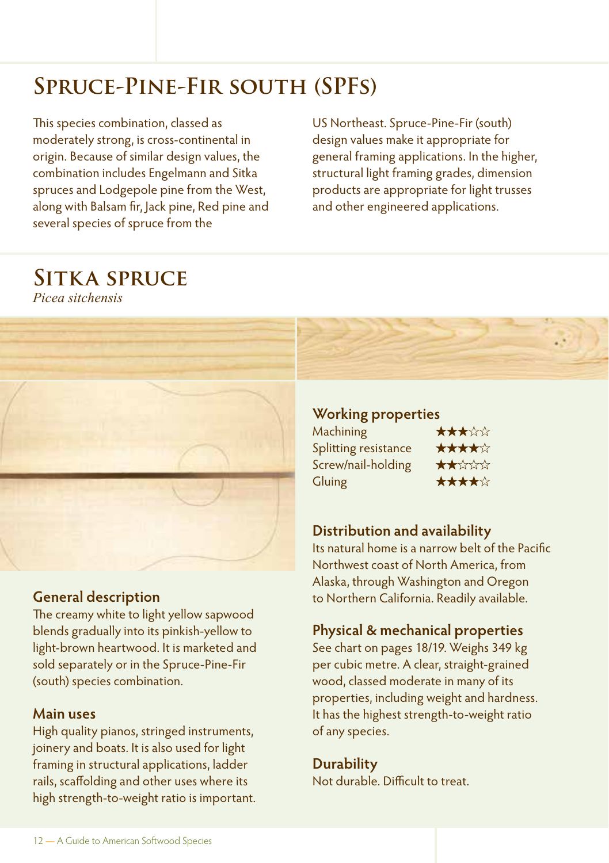# **Spruce-Pine-Fir south (SPFs)**

This species combination, classed as moderately strong, is cross-continental in origin. Because of similar design values, the combination includes Engelmann and Sitka spruces and Lodgepole pine from the West, along with Balsam fir, Jack pine, Red pine and several species of spruce from the

US Northeast. Spruce-Pine-Fir (south) design values make it appropriate for general framing applications. In the higher, structural light framing grades, dimension products are appropriate for light trusses and other engineered applications.

# **Sitka spruce**

*Picea sitchensis*



### **General description**

The creamy white to light yellow sapwood blends gradually into its pinkish-yellow to light-brown heartwood. It is marketed and sold separately or in the Spruce-Pine-Fir (south) species combination.

### **Main uses**

High quality pianos, stringed instruments, joinery and boats. It is also used for light framing in structural applications, ladder rails, scaffolding and other uses where its high strength-to-weight ratio is important.

### **Working properties**

| Machining            | ★★★☆☆                       |
|----------------------|-----------------------------|
| Splitting resistance | ★★★★☆                       |
| Screw/nail-holding   | $\star\star\star\star\star$ |
| Gluing               | ★★★★☆                       |

### **Distribution and availability**

Its natural home is a narrow belt of the Pacific Northwest coast of North America, from Alaska, through Washington and Oregon to Northern California. Readily available.

### **Physical & mechanical properties**

See chart on pages 18/19. Weighs 349 kg per cubic metre. A clear, straight-grained wood, classed moderate in many of its properties, including weight and hardness. It has the highest strength-to-weight ratio of any species.

### **Durability**

Not durable. Difficult to treat.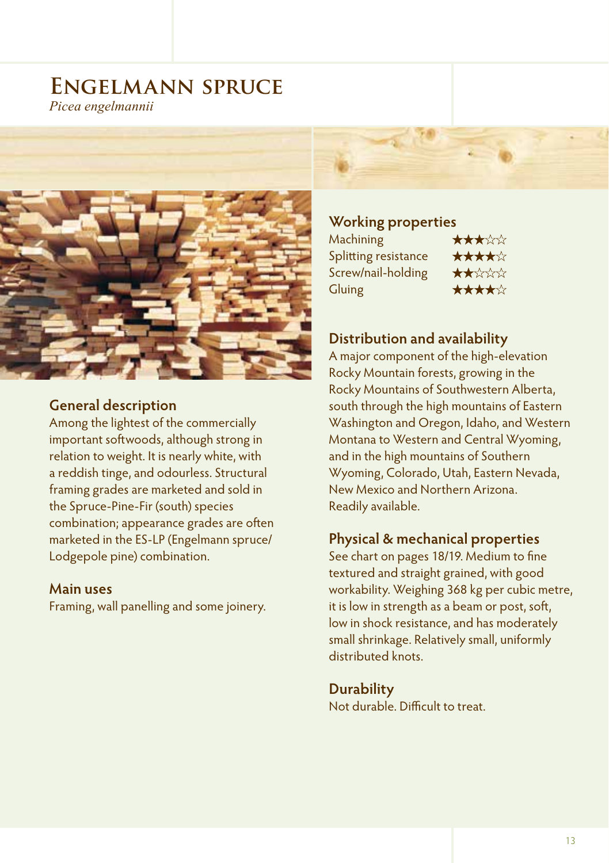## **Engelmann spruce** *Picea engelmannii*

### **General description**

Among the lightest of the commercially important softwoods, although strong in relation to weight. It is nearly white, with a reddish tinge, and odourless. Structural framing grades are marketed and sold in the Spruce-Pine-Fir (south) species combination; appearance grades are often marketed in the ES-LP (Engelmann spruce/ Lodgepole pine) combination.

### **Main uses**

Framing, wall panelling and some joinery.

### **Working properties**

Machining ★★★☆☆ Splitting resistance ★★★★☆ Screw/nail-holding ★★☆☆☆ Gluing <del>★★★★☆</del>

## **Distribution and availability**

A major component of the high-elevation Rocky Mountain forests, growing in the Rocky Mountains of Southwestern Alberta, south through the high mountains of Eastern Washington and Oregon, Idaho, and Western Montana to Western and Central Wyoming, and in the high mountains of Southern Wyoming, Colorado, Utah, Eastern Nevada, New Mexico and Northern Arizona. Readily available.

### **Physical & mechanical properties**

See chart on pages 18/19. Medium to fine textured and straight grained, with good workability. Weighing 368 kg per cubic metre, it is low in strength as a beam or post, soft, low in shock resistance, and has moderately small shrinkage. Relatively small, uniformly distributed knots.

**Durability** Not durable. Difficult to treat.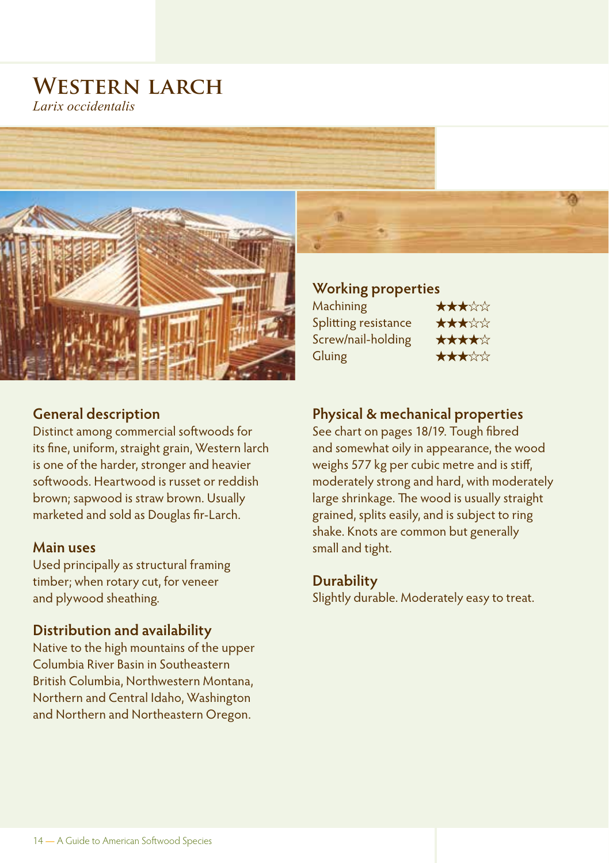## **Western larch** *Larix occidentalis*



### **General description**

Distinct among commercial softwoods for its fine, uniform, straight grain, Western larch is one of the harder, stronger and heavier softwoods. Heartwood is russet or reddish brown; sapwood is straw brown. Usually marketed and sold as Douglas fir-Larch.

### **Main uses**

Used principally as structural framing timber; when rotary cut, for veneer and plywood sheathing.

### **Distribution and availability**

Native to the high mountains of the upper Columbia River Basin in Southeastern British Columbia, Northwestern Montana, Northern and Central Idaho, Washington and Northern and Northeastern Oregon.

### **Working properties**

| Machining            | ★★★☆☆ |
|----------------------|-------|
| Splitting resistance | ★★★☆☆ |
| Screw/nail-holding   | ★★★★☆ |
| Gluing               | ★★★☆☆ |
|                      |       |

### **Physical & mechanical properties**

See chart on pages 18/19. Tough fibred and somewhat oily in appearance, the wood weighs 577 kg per cubic metre and is stiff, moderately strong and hard, with moderately large shrinkage. The wood is usually straight grained, splits easily, and is subject to ring shake. Knots are common but generally small and tight.

### **Durability**

Slightly durable. Moderately easy to treat.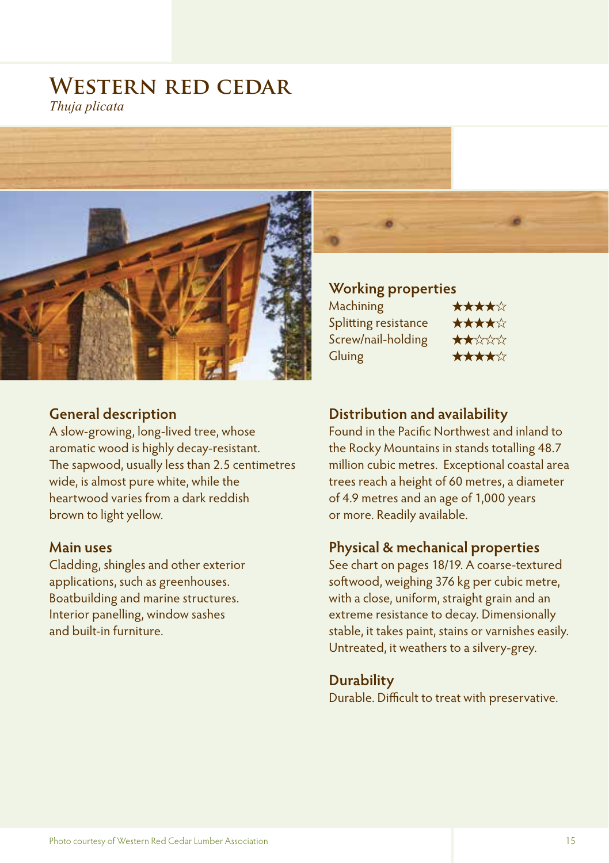## **Western red cedar** *Thuja plicata*



### **General description**

A slow-growing, long-lived tree, whose aromatic wood is highly decay-resistant. The sapwood, usually less than 2.5 centimetres wide, is almost pure white, while the heartwood varies from a dark reddish brown to light yellow.

### **Main uses**

Cladding, shingles and other exterior applications, such as greenhouses. Boatbuilding and marine structures. Interior panelling, window sashes and built-in furniture.

**Working properties** Machining ★★★★☆ Splitting resistance ★★★★☆ Screw/nail-holding ★★☆☆☆ Gluing ★★★★☆

### **Distribution and availability**

Found in the Pacific Northwest and inland to the Rocky Mountains in stands totalling 48.7 million cubic metres. Exceptional coastal area trees reach a height of 60 metres, a diameter of 4.9 metres and an age of 1,000 years or more. Readily available.

### **Physical & mechanical properties**

See chart on pages 18/19. A coarse-textured softwood, weighing 376 kg per cubic metre, with a close, uniform, straight grain and an extreme resistance to decay. Dimensionally stable, it takes paint, stains or varnishes easily. Untreated, it weathers to a silvery-grey.

**Durability** Durable. Difficult to treat with preservative.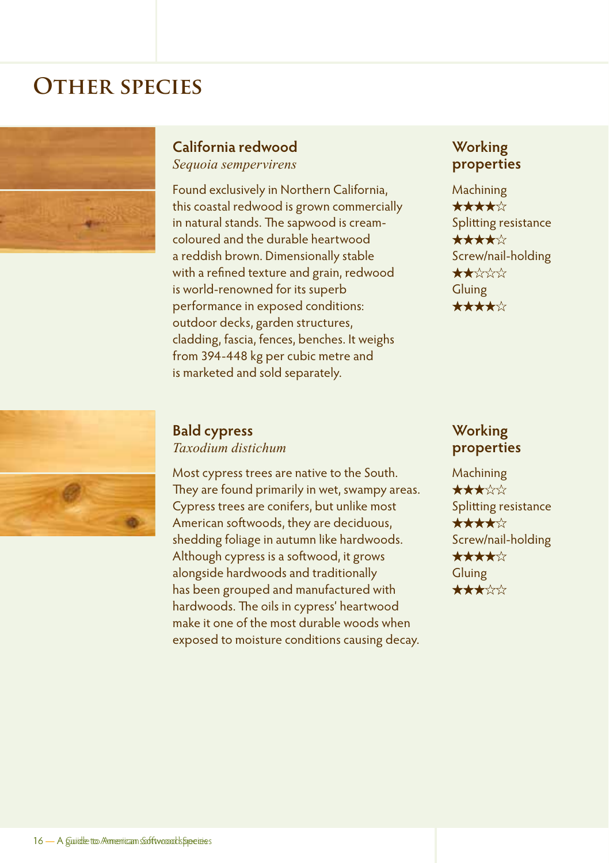# **OTHER SPECIES**



## **California redwood**

*Sequoia sempervirens*

Found exclusively in Northern California, this coastal redwood is grown commercially in natural stands. The sapwood is creamcoloured and the durable heartwood a reddish brown. Dimensionally stable with a refined texture and grain, redwood is world-renowned for its superb performance in exposed conditions: outdoor decks, garden structures, cladding, fascia, fences, benches. It weighs from 394-448 kg per cubic metre and is marketed and sold separately.

### **Working properties**

Machining ★★★★★ Splitting resistance ★★★★★ Screw/nail-holding ★★★★★ Gluing ★★★★★



### **Bald cypress** *Taxodium distichum*

Most cypress trees are native to the South. They are found primarily in wet, swampy areas. Cypress trees are conifers, but unlike most American softwoods, they are deciduous, shedding foliage in autumn like hardwoods. Although cypress is a softwood, it grows alongside hardwoods and traditionally has been grouped and manufactured with hardwoods. The oils in cypress' heartwood make it one of the most durable woods when exposed to moisture conditions causing decay.

### **Working properties**

Machining ★★★★★ Splitting resistance ★★★★★ Screw/nail-holding ★★★★★ Gluing ★★★★★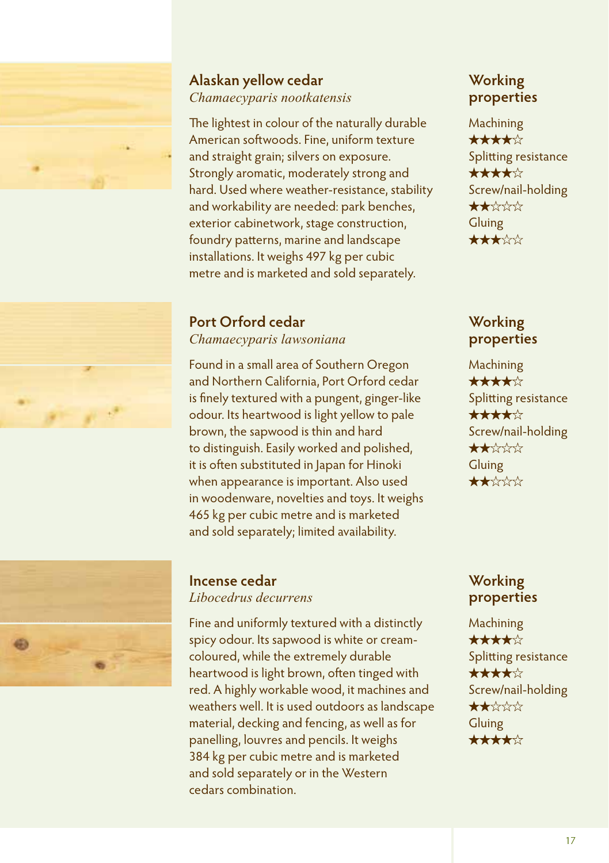

### **Alaskan yellow cedar** *Chamaecyparis nootkatensis*

The lightest in colour of the naturally durable American softwoods. Fine, uniform texture and straight grain; silvers on exposure. Strongly aromatic, moderately strong and hard. Used where weather-resistance, stability and workability are needed: park benches, exterior cabinetwork, stage construction, foundry patterns, marine and landscape installations. It weighs 497 kg per cubic metre and is marketed and sold separately.

# **Port Orford cedar**

*Chamaecyparis lawsoniana*

Found in a small area of Southern Oregon and Northern California, Port Orford cedar is finely textured with a pungent, ginger-like odour. Its heartwood is light yellow to pale brown, the sapwood is thin and hard to distinguish. Easily worked and polished, it is often substituted in Japan for Hinoki when appearance is important. Also used in woodenware, novelties and toys. It weighs 465 kg per cubic metre and is marketed and sold separately; limited availability.



# **Incense cedar**

*Libocedrus decurrens*

Fine and uniformly textured with a distinctly spicy odour. Its sapwood is white or creamcoloured, while the extremely durable heartwood is light brown, often tinged with red. A highly workable wood, it machines and weathers well. It is used outdoors as landscape material, decking and fencing, as well as for panelling, louvres and pencils. It weighs 384 kg per cubic metre and is marketed and sold separately or in the Western cedars combination.

## **Working properties**

Machining

★★★★★ Splitting resistance ★★★★★ Screw/nail-holding ★★★★★ Gluing ★★★★★

## **Working properties**

Machining ★★★★★ Splitting resistance ★★★★★ Screw/nail-holding ★★★★★ Gluing ★★★★★

### **Working properties**

Machining ★★★★★ Splitting resistance ★★★★★ Screw/nail-holding ★★★★★ Gluing ★★★★★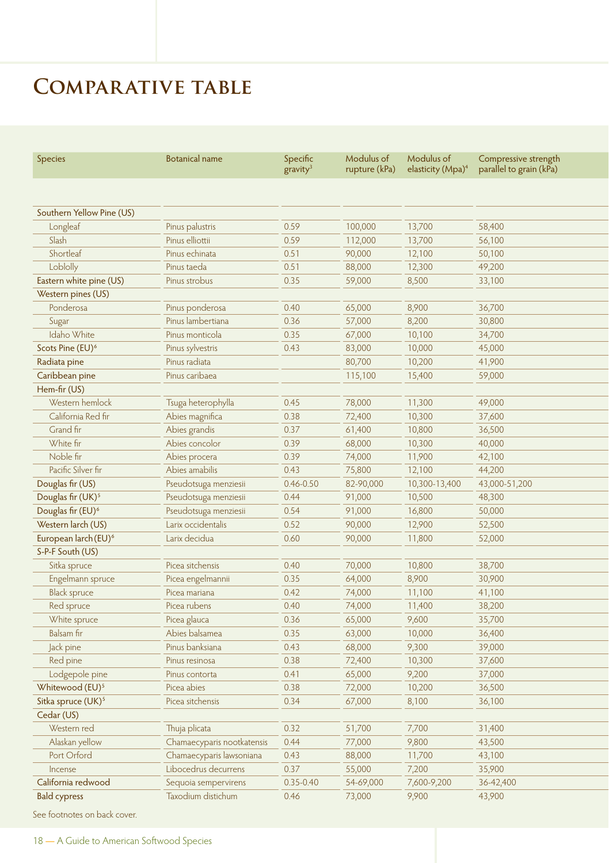# **Comparative table**

| Species                          | <b>Botanical name</b>      | Specific<br>gravity <sup>3</sup> | Modulus of<br>rupture (kPa) | Modulus of<br>elasticity (Mpa) <sup>4</sup> | Compressive strength<br>parallel to grain (kPa) |  |
|----------------------------------|----------------------------|----------------------------------|-----------------------------|---------------------------------------------|-------------------------------------------------|--|
|                                  |                            |                                  |                             |                                             |                                                 |  |
| Southern Yellow Pine (US)        |                            |                                  |                             |                                             |                                                 |  |
| Longleaf                         | Pinus palustris            | 0.59                             | 100,000                     | 13,700                                      | 58,400                                          |  |
| Slash                            | Pinus elliottii            | 0.59                             | 112,000                     | 13,700                                      | 56,100                                          |  |
| Shortleaf                        | Pinus echinata             | 0.51                             | 90,000                      | 12,100                                      | 50,100                                          |  |
| Loblolly                         | Pinus taeda                | 0.51                             | 88,000                      | 12,300                                      | 49,200                                          |  |
| Eastern white pine (US)          | Pinus strobus              | 0.35                             | 59,000                      | 8,500                                       | 33,100                                          |  |
| Western pines (US)               |                            |                                  |                             |                                             |                                                 |  |
| Ponderosa                        | Pinus ponderosa            | 0.40                             | 65,000                      | 8,900                                       | 36,700                                          |  |
| Sugar                            | Pinus lambertiana          | 0.36                             | 57,000                      | 8,200                                       | 30,800                                          |  |
| Idaho White                      | Pinus monticola            | 0.35                             | 67,000                      | 10,100                                      | 34,700                                          |  |
| Scots Pine (EU) <sup>6</sup>     | Pinus sylvestris           | 0.43                             | 83,000                      | 10,000                                      | 45,000                                          |  |
| Radiata pine                     | Pinus radiata              |                                  | 80,700                      | 10,200                                      | 41,900                                          |  |
| Caribbean pine                   | Pinus caribaea             |                                  | 115,100                     | 15,400                                      | 59,000                                          |  |
| Hem-fir (US)                     |                            |                                  |                             |                                             |                                                 |  |
| Western hemlock                  | Tsuga heterophylla         | 0.45                             | 78,000                      | 11,300                                      | 49,000                                          |  |
| California Red fir               | Abies magnifica            | 0.38                             | 72,400                      | 10,300                                      | 37,600                                          |  |
| Grand fir                        | Abies grandis              | 0.37                             | 61,400                      | 10,800                                      | 36,500                                          |  |
| White fir                        | Abies concolor             | 0.39                             | 68,000                      | 10,300                                      | 40,000                                          |  |
| Noble fir                        | Abies procera              | 0.39                             | 74,000                      | 11,900                                      | 42,100                                          |  |
| Pacific Silver fir               | Abies amabilis             | 0.43                             | 75,800                      | 12,100                                      | 44,200                                          |  |
| Douglas fir (US)                 | Pseudotsuga menziesii      | $0.46 - 0.50$                    | 82-90,000                   | 10,300-13,400                               | 43,000-51,200                                   |  |
| Douglas fir (UK) <sup>5</sup>    | Pseudotsuga menziesii      | 0.44                             | 91,000                      | 10,500                                      | 48,300                                          |  |
| Douglas fir (EU) <sup>6</sup>    | Pseudotsuga menziesii      | 0.54                             | 91,000                      | 16,800                                      | 50,000                                          |  |
| Western larch (US)               | Larix occidentalis         | 0.52                             | 90,000                      | 12,900                                      | 52,500                                          |  |
| European larch (EU) <sup>6</sup> | Larix decidua              | 0.60                             | 90,000                      | 11,800                                      | 52,000                                          |  |
| S-P-F South (US)                 |                            |                                  |                             |                                             |                                                 |  |
| Sitka spruce                     | Picea sitchensis           | 0.40                             | 70,000                      | 10,800                                      | 38,700                                          |  |
| Engelmann spruce                 | Picea engelmannii          | 0.35                             | 64,000                      | 8,900                                       | 30,900                                          |  |
| <b>Black spruce</b>              | Picea mariana              | 0.42                             | 74,000                      | 11,100                                      | 41,100                                          |  |
| Red spruce                       | Picea rubens               | 0.40                             | 74,000                      | 11,400                                      | 38,200                                          |  |
| White spruce                     | Picea glauca               | 0.36                             | 65,000                      | 9,600                                       | 35,700                                          |  |
| Balsam fir                       | Abies balsamea             | 0.35                             | 63,000                      | 10,000                                      | 36,400                                          |  |
| Jack pine                        | Pinus banksiana            | 0.43                             | 68,000                      | 9,300                                       | 39,000                                          |  |
| Red pine                         | Pinus resinosa             | 0.38                             | 72,400                      | 10,300                                      | 37,600                                          |  |
| Lodgepole pine                   | Pinus contorta             | 0.41                             | 65,000                      | 9,200                                       | 37,000                                          |  |
| Whitewood (EU) <sup>5</sup>      | Picea abies                | 0.38                             | 72,000                      | 10,200                                      | 36,500                                          |  |
| Sitka spruce (UK) <sup>5</sup>   | Picea sitchensis           | 0.34                             | 67,000                      | 8,100                                       | 36,100                                          |  |
| Cedar (US)                       |                            |                                  |                             |                                             |                                                 |  |
|                                  |                            |                                  |                             |                                             |                                                 |  |
| Western red                      | Thuja plicata              | 0.32                             | 51,700                      | 7,700                                       | 31,400                                          |  |
| Alaskan yellow                   | Chamaecyparis nootkatensis | 0.44                             | 77,000                      | 9,800                                       | 43,500                                          |  |
| Port Orford                      | Chamaecyparis lawsoniana   | 0.43                             | 88,000                      | 11,700                                      | 43,100                                          |  |
| Incense                          | Libocedrus decurrens       | 0.37                             | 55,000                      | 7,200                                       | 35,900                                          |  |
| California redwood               | Sequoia sempervirens       | $0.35 - 0.40$                    | 54-69,000                   | 7,600-9,200                                 | 36-42,400                                       |  |
| <b>Bald cypress</b>              | Taxodium distichum         | 0.46                             | 73,000                      | 9,900                                       | 43,900                                          |  |

See footnotes on back cover.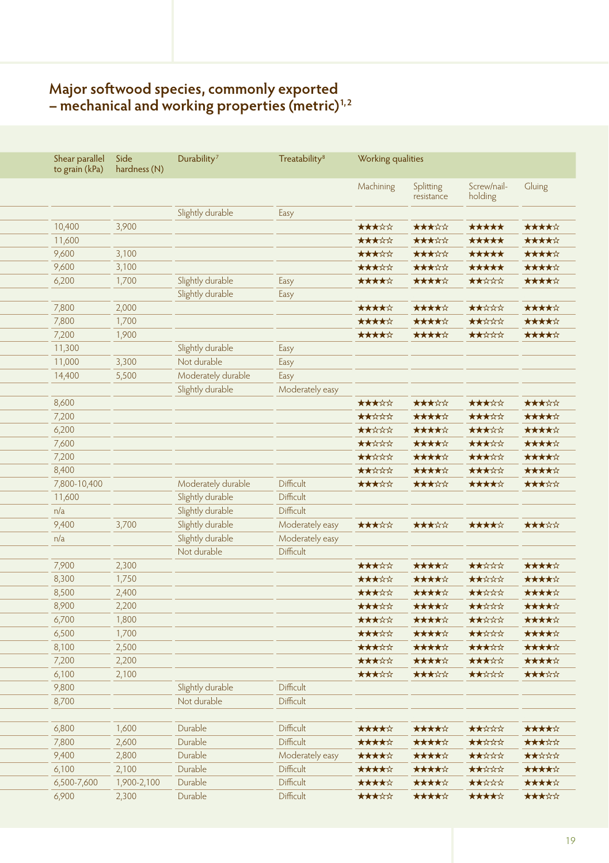## **Major softwood species, commonly exported – mechanical and working properties (metric)1, 2**

|               | Shear parallel<br>to grain (kPa) | Side<br>hardness (N) | Durability <sup>7</sup>              | <b>Treatability<sup>8</sup></b> | Working qualities |                         |                        |                |
|---------------|----------------------------------|----------------------|--------------------------------------|---------------------------------|-------------------|-------------------------|------------------------|----------------|
|               |                                  |                      |                                      |                                 | Machining         | Splitting<br>resistance | Screw/nail-<br>holding | Gluing         |
|               |                                  |                      | Slightly durable                     | Easy                            |                   |                         |                        |                |
| 10,400        |                                  | 3,900                |                                      |                                 | *****             | *****                   | *****                  | *****          |
| 11,600        |                                  |                      |                                      |                                 | *****             | *****                   | *****                  | *****          |
| 9,600         |                                  | 3,100                |                                      |                                 | *****             | *****                   | *****                  | *****          |
| 9,600         |                                  | 3,100                |                                      |                                 | *****             | *****                   | *****                  | *****          |
| 6,200         |                                  | 1,700                | Slightly durable                     | Easy                            | *****             | *****                   | *****                  | *****          |
|               |                                  |                      | Slightly durable                     | Easy                            |                   |                         |                        |                |
| 7,800         |                                  | 2,000                |                                      |                                 | *****             | *****                   | ★★☆☆☆                  | *****          |
| 7,800         |                                  | 1,700                |                                      |                                 | *****             | *****                   | *****                  | *****          |
| 7,200         |                                  | 1,900                |                                      |                                 | *****             | *****                   | ★★☆☆☆                  | *****          |
| 11,300        |                                  |                      | Slightly durable                     | Easy                            |                   |                         |                        |                |
| 11,000        |                                  | 3,300                | Not durable                          | Easy                            |                   |                         |                        |                |
| 14,400        |                                  | 5,500                | Moderately durable                   | Easy                            |                   |                         |                        |                |
|               |                                  |                      | Slightly durable                     | Moderately easy                 |                   |                         |                        |                |
| 8,600         |                                  |                      |                                      |                                 | *****             | *****                   | *****                  | *****          |
| 7,200         |                                  |                      |                                      |                                 | *****             | *****                   | *****                  | *****          |
| 6,200         |                                  |                      |                                      |                                 | *****             | *****                   | *****                  | *****          |
| 7,600         |                                  |                      |                                      |                                 | *****             | *****                   | *****                  | *****          |
| 7,200         |                                  |                      |                                      |                                 | *****             | *****                   | *****                  | *****<br>***** |
| 8,400         |                                  |                      |                                      |                                 | *****             | *****                   | *****                  |                |
|               | 7,800-10,400                     |                      | Moderately durable                   | Difficult<br>Difficult          | *****             | *****                   | *****                  | *****          |
| 11,600<br>n/a |                                  |                      | Slightly durable                     | Difficult                       |                   |                         |                        |                |
| 9,400         |                                  | 3,700                | Slightly durable<br>Slightly durable | Moderately easy                 | *****             | *****                   | *****                  | *****          |
| n/a           |                                  |                      | Slightly durable                     | Moderately easy                 |                   |                         |                        |                |
|               |                                  |                      | Not durable                          | Difficult                       |                   |                         |                        |                |
| 7,900         |                                  | 2,300                |                                      |                                 | *****             | *****                   | *****                  | *****          |
| 8,300         |                                  | 1,750                |                                      |                                 | *****             | *****                   | *****                  | *****          |
| 8,500         |                                  | 2,400                |                                      |                                 | *****             | *****                   | ★★☆☆☆                  | *****          |
| 8,900         |                                  | 2,200                |                                      |                                 | *****             | *****                   | *****                  | *****          |
| 6,700         |                                  | 1,800                |                                      |                                 | *****             | *****                   | *****                  | *****          |
| 6,500         |                                  | 1,700                |                                      |                                 | *****             | *****                   | *****                  | *****          |
| 8,100         |                                  | 2,500                |                                      |                                 | *****             | *****                   | *****                  | *****          |
| 7,200         |                                  | 2,200                |                                      |                                 | *****             | *****                   | *****                  | *****          |
| 6,100         |                                  | 2,100                |                                      |                                 | *****             | *****                   | *****                  | *****          |
| 9,800         |                                  |                      | Slightly durable                     | Difficult                       |                   |                         |                        |                |
| 8,700         |                                  |                      | Not durable                          | Difficult                       |                   |                         |                        |                |
|               |                                  |                      |                                      |                                 |                   |                         |                        |                |
| 6,800         |                                  | 1,600                | Durable                              | Difficult                       | *****             | *****                   | *****                  | *****          |
| 7,800         |                                  | 2,600                | Durable                              | Difficult                       | *****             | *****                   | *****                  | *****          |
| 9,400         |                                  | 2,800                | Durable                              | Moderately easy                 | *****             | *****                   | *****                  | *****          |
| 6,100         |                                  | 2,100                | Durable                              | Difficult                       | *****             | *****                   | ★★☆☆☆                  | *****          |
|               | 6,500-7,600                      | 1,900-2,100          | Durable                              | Difficult                       | *****             | *****                   | ★★☆☆☆                  | *****          |
| 6,900         |                                  | 2,300                | Durable                              | Difficult                       | *****             | *****                   | *****                  | *****          |